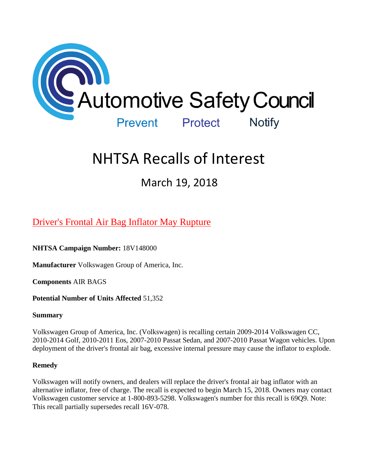

# NHTSA Recalls of Interest

March 19, 2018

# [Driver's Frontal Air Bag Inflator May Rupture](https://www.nhtsa.gov/recalls?nhtsaId=18V148#recalls380)

**NHTSA Campaign Number:** 18V148000

**Manufacturer** Volkswagen Group of America, Inc.

**Components** AIR BAGS

## **Potential Number of Units Affected** 51,352

## **Summary**

Volkswagen Group of America, Inc. (Volkswagen) is recalling certain 2009-2014 Volkswagen CC, 2010-2014 Golf, 2010-2011 Eos, 2007-2010 Passat Sedan, and 2007-2010 Passat Wagon vehicles. Upon deployment of the driver's frontal air bag, excessive internal pressure may cause the inflator to explode.

## **Remedy**

Volkswagen will notify owners, and dealers will replace the driver's frontal air bag inflator with an alternative inflator, free of charge. The recall is expected to begin March 15, 2018. Owners may contact Volkswagen customer service at 1-800-893-5298. Volkswagen's number for this recall is 69Q9. Note: This recall partially supersedes recall 16V-078.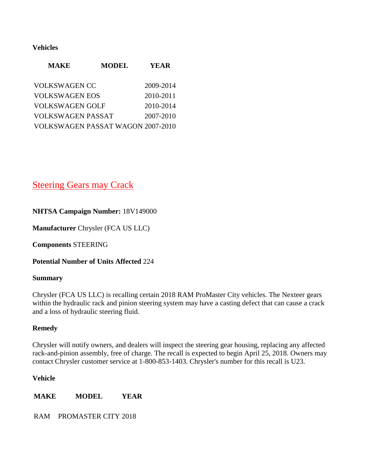#### **Vehicles**

| <b>MAKE</b>              | <b>MODEL</b>                             | YEAR      |
|--------------------------|------------------------------------------|-----------|
| <b>VOLKSWAGEN CC</b>     |                                          | 2009-2014 |
| <b>VOLKSWAGEN EOS</b>    |                                          | 2010-2011 |
| <b>VOLKSWAGEN GOLF</b>   |                                          | 2010-2014 |
| <b>VOLKSWAGEN PASSAT</b> |                                          | 2007-2010 |
|                          | <b>VOLKSWAGEN PASSAT WAGON 2007-2010</b> |           |

# [Steering Gears may Crack](https://www.nhtsa.gov/recalls?nhtsaId=18V149#recalls380)

## **NHTSA Campaign Number:** 18V149000

**Manufacturer** Chrysler (FCA US LLC)

**Components** STEERING

**Potential Number of Units Affected** 224

#### **Summary**

Chrysler (FCA US LLC) is recalling certain 2018 RAM ProMaster City vehicles. The Nexteer gears within the hydraulic rack and pinion steering system may have a casting defect that can cause a crack and a loss of hydraulic steering fluid.

#### **Remedy**

Chrysler will notify owners, and dealers will inspect the steering gear housing, replacing any affected rack-and-pinion assembly, free of charge. The recall is expected to begin April 25, 2018. Owners may contact Chrysler customer service at 1-800-853-1403. Chrysler's number for this recall is U23.

#### **Vehicle**

**MAKE MODEL YEAR**

RAM PROMASTER CITY 2018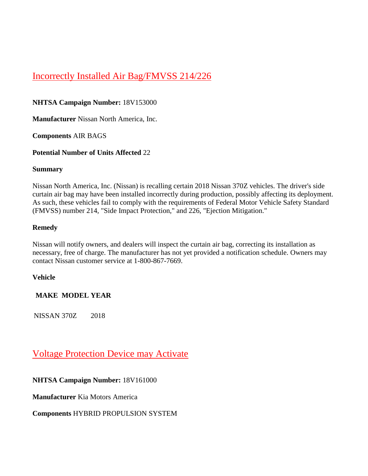# [Incorrectly Installed Air Bag/FMVSS 214/226](https://www.nhtsa.gov/recalls?nhtsaId=18V153#recalls380)

## **NHTSA Campaign Number:** 18V153000

**Manufacturer** Nissan North America, Inc.

**Components** AIR BAGS

## **Potential Number of Units Affected** 22

#### **Summary**

Nissan North America, Inc. (Nissan) is recalling certain 2018 Nissan 370Z vehicles. The driver's side curtain air bag may have been installed incorrectly during production, possibly affecting its deployment. As such, these vehicles fail to comply with the requirements of Federal Motor Vehicle Safety Standard (FMVSS) number 214, "Side Impact Protection," and 226, "Ejection Mitigation."

## **Remedy**

Nissan will notify owners, and dealers will inspect the curtain air bag, correcting its installation as necessary, free of charge. The manufacturer has not yet provided a notification schedule. Owners may contact Nissan customer service at 1-800-867-7669.

## **Vehicle**

# **MAKE MODEL YEAR**

NISSAN 370Z 2018

# [Voltage Protection Device may Activate](https://www.nhtsa.gov/recalls?nhtsaId=18V161#recalls380)

# **NHTSA Campaign Number:** 18V161000

**Manufacturer** Kia Motors America

# **Components** HYBRID PROPULSION SYSTEM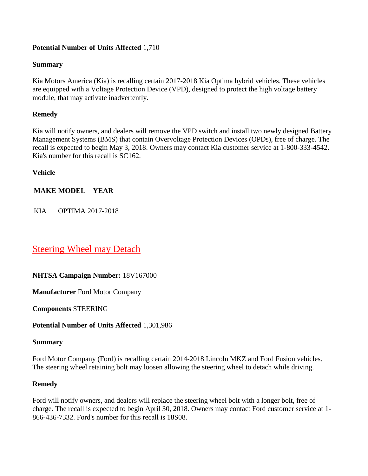## **Potential Number of Units Affected** 1,710

#### **Summary**

Kia Motors America (Kia) is recalling certain 2017-2018 Kia Optima hybrid vehicles. These vehicles are equipped with a Voltage Protection Device (VPD), designed to protect the high voltage battery module, that may activate inadvertently.

#### **Remedy**

Kia will notify owners, and dealers will remove the VPD switch and install two newly designed Battery Management Systems (BMS) that contain Overvoltage Protection Devices (OPDs), free of charge. The recall is expected to begin May 3, 2018. Owners may contact Kia customer service at 1-800-333-4542. Kia's number for this recall is SC162.

**Vehicle**

## **MAKE MODEL YEAR**

KIA OPTIMA 2017-2018

# [Steering Wheel may Detach](https://www.nhtsa.gov/recalls?nhtsaId=18V167#recalls380)

## **NHTSA Campaign Number:** 18V167000

**Manufacturer** Ford Motor Company

**Components** STEERING

## **Potential Number of Units Affected** 1,301,986

#### **Summary**

Ford Motor Company (Ford) is recalling certain 2014-2018 Lincoln MKZ and Ford Fusion vehicles. The steering wheel retaining bolt may loosen allowing the steering wheel to detach while driving.

#### **Remedy**

Ford will notify owners, and dealers will replace the steering wheel bolt with a longer bolt, free of charge. The recall is expected to begin April 30, 2018. Owners may contact Ford customer service at 1- 866-436-7332. Ford's number for this recall is 18S08.